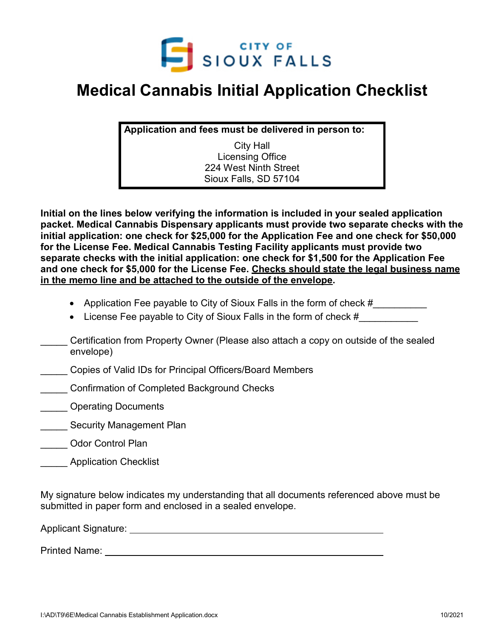

## **Medical Cannabis Initial Application Checklist**

**Application and fees must be delivered in person to:**

City Hall Licensing Office 224 West Ninth Street Sioux Falls, SD 57104

**Initial on the lines below verifying the information is included in your sealed application packet. Medical Cannabis Dispensary applicants must provide two separate checks with the initial application: one check for \$25,000 for the Application Fee and one check for \$50,000 for the License Fee. Medical Cannabis Testing Facility applicants must provide two separate checks with the initial application: one check for \$1,500 for the Application Fee and one check for \$5,000 for the License Fee. Checks should state the legal business name in the memo line and be attached to the outside of the envelope.** 

- Application Fee payable to City of Sioux Falls in the form of check #
- License Fee payable to City of Sioux Falls in the form of check  $\#$
- \_\_\_\_\_ Certification from Property Owner (Please also attach a copy on outside of the sealed envelope)
- \_\_\_\_\_ Copies of Valid IDs for Principal Officers/Board Members
- \_\_\_\_\_ Confirmation of Completed Background Checks
- **Example 20 Operating Documents**
- **Wanagement Plan**
- \_\_\_\_\_ Odor Control Plan
- \_\_\_\_\_ Application Checklist

My signature below indicates my understanding that all documents referenced above must be submitted in paper form and enclosed in a sealed envelope.

Applicant Signature:

Printed Name: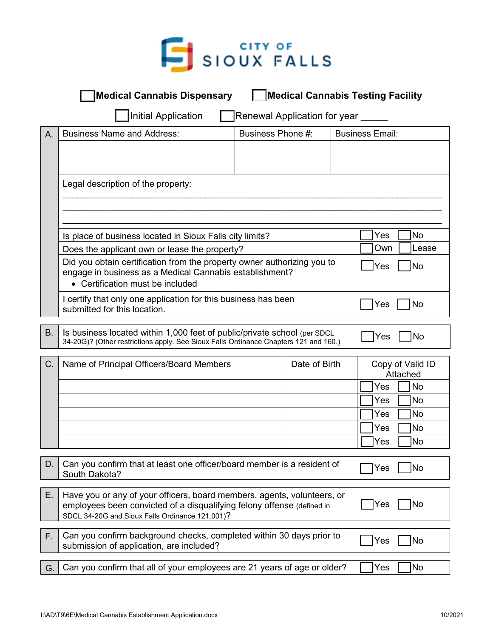

|           | <b>Medical Cannabis Dispensary</b>                                                                                                                                                                                 |                              |                  |                        | <b>Medical Cannabis Testing Facility</b> |
|-----------|--------------------------------------------------------------------------------------------------------------------------------------------------------------------------------------------------------------------|------------------------------|------------------|------------------------|------------------------------------------|
|           | <b>Initial Application</b>                                                                                                                                                                                         | Renewal Application for year |                  |                        |                                          |
| A.        | <b>Business Name and Address:</b>                                                                                                                                                                                  | Business Phone #:            |                  | <b>Business Email:</b> |                                          |
|           |                                                                                                                                                                                                                    |                              |                  |                        |                                          |
|           |                                                                                                                                                                                                                    |                              |                  |                        |                                          |
|           | Legal description of the property:                                                                                                                                                                                 |                              |                  |                        |                                          |
|           |                                                                                                                                                                                                                    |                              |                  |                        |                                          |
|           |                                                                                                                                                                                                                    |                              |                  |                        |                                          |
|           | No.<br>Yes<br>Is place of business located in Sioux Falls city limits?                                                                                                                                             |                              |                  |                        |                                          |
|           | Own<br>Lease<br>Does the applicant own or lease the property?                                                                                                                                                      |                              |                  |                        |                                          |
|           | Did you obtain certification from the property owner authorizing you to<br>No<br>Yes<br>engage in business as a Medical Cannabis establishment?<br>• Certification must be included                                |                              |                  |                        |                                          |
|           | I certify that only one application for this business has been<br>submitted for this location.                                                                                                                     |                              |                  |                        | Yes<br>No                                |
| <b>B.</b> | Is business located within 1,000 feet of public/private school (per SDCL                                                                                                                                           |                              |                  |                        |                                          |
|           | 34-20G)? (Other restrictions apply. See Sioux Falls Ordinance Chapters 121 and 160.)                                                                                                                               |                              |                  |                        | Yes<br><b>No</b>                         |
| C.        | Date of Birth<br>Name of Principal Officers/Board Members                                                                                                                                                          |                              | Copy of Valid ID |                        |                                          |
|           |                                                                                                                                                                                                                    |                              |                  |                        | Attached<br>Yes<br><b>No</b>             |
|           |                                                                                                                                                                                                                    |                              |                  |                        | <b>No</b><br>Yes                         |
|           |                                                                                                                                                                                                                    |                              |                  |                        | No<br>Yes                                |
|           |                                                                                                                                                                                                                    |                              |                  |                        | <b>No</b><br>Yes                         |
|           |                                                                                                                                                                                                                    |                              |                  |                        | lNo<br>Yes                               |
| D.        | Can you confirm that at least one officer/board member is a resident of<br>lNo<br>Yes<br>South Dakota?                                                                                                             |                              |                  |                        |                                          |
| Е.        | Have you or any of your officers, board members, agents, volunteers, or<br> No<br>Yes<br>employees been convicted of a disqualifying felony offense (defined in<br>SDCL 34-20G and Sioux Falls Ordinance 121.001)? |                              |                  |                        |                                          |
| F.        | Can you confirm background checks, completed within 30 days prior to<br>No<br>Yes<br>submission of application, are included?                                                                                      |                              |                  |                        |                                          |
| G.        | No)<br>Can you confirm that all of your employees are 21 years of age or older?<br>Yes                                                                                                                             |                              |                  |                        |                                          |